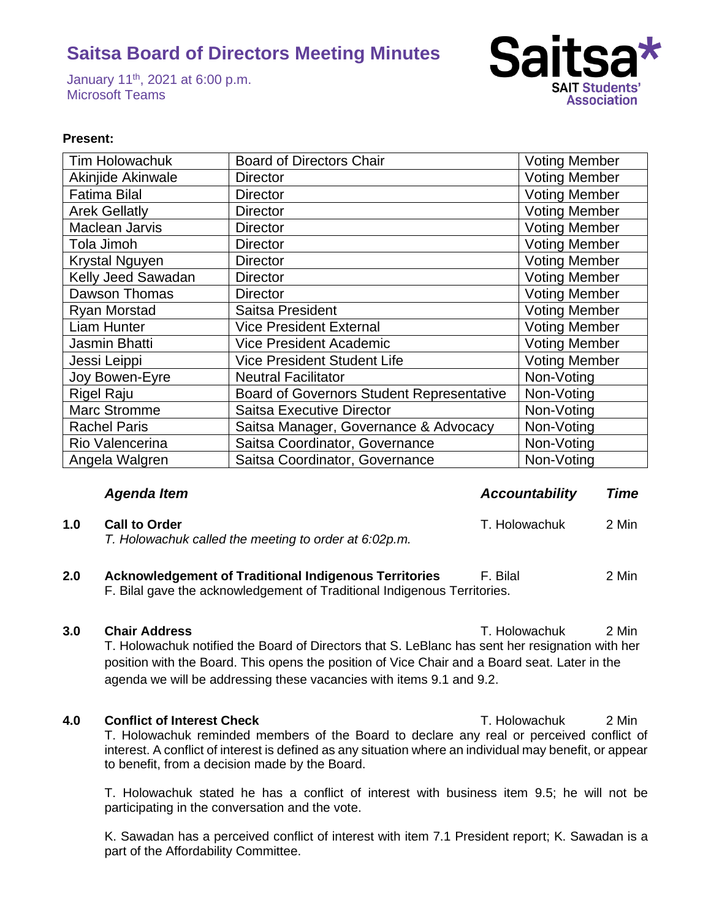January 11th, 2021 at 6:00 p.m. Microsoft Teams



### **Present:**

| Tim Holowachuk        | <b>Board of Directors Chair</b>                  | <b>Voting Member</b> |
|-----------------------|--------------------------------------------------|----------------------|
| Akinjide Akinwale     | <b>Director</b>                                  | <b>Voting Member</b> |
| <b>Fatima Bilal</b>   | <b>Director</b>                                  | <b>Voting Member</b> |
| <b>Arek Gellatly</b>  | <b>Director</b>                                  | <b>Voting Member</b> |
| Maclean Jarvis        | <b>Director</b>                                  | <b>Voting Member</b> |
| Tola Jimoh            | <b>Director</b>                                  | <b>Voting Member</b> |
| <b>Krystal Nguyen</b> | <b>Director</b>                                  | <b>Voting Member</b> |
| Kelly Jeed Sawadan    | <b>Director</b>                                  | <b>Voting Member</b> |
| Dawson Thomas         | <b>Director</b>                                  | <b>Voting Member</b> |
| <b>Ryan Morstad</b>   | Saitsa President                                 | <b>Voting Member</b> |
| <b>Liam Hunter</b>    | <b>Vice President External</b>                   | <b>Voting Member</b> |
| Jasmin Bhatti         | <b>Vice President Academic</b>                   | <b>Voting Member</b> |
| Jessi Leippi          | <b>Vice President Student Life</b>               | <b>Voting Member</b> |
| Joy Bowen-Eyre        | <b>Neutral Facilitator</b>                       | Non-Voting           |
| <b>Rigel Raju</b>     | <b>Board of Governors Student Representative</b> | Non-Voting           |
| <b>Marc Stromme</b>   | <b>Saitsa Executive Director</b>                 | Non-Voting           |
| <b>Rachel Paris</b>   | Saitsa Manager, Governance & Advocacy            | Non-Voting           |
| Rio Valencerina       | Saitsa Coordinator, Governance                   | Non-Voting           |
| Angela Walgren        | Saitsa Coordinator, Governance                   | Non-Voting           |

## *Agenda Item Accountability Time*

| 1.0 | <b>Call to Order</b>                                  | T. Holowachuk | 2 Min |
|-----|-------------------------------------------------------|---------------|-------|
|     | T. Holowachuk called the meeting to order at 6:02p.m. |               |       |

## **2.0 Acknowledgement of Traditional Indigenous Territories** F. Bilal 2 Min F. Bilal gave the acknowledgement of Traditional Indigenous Territories.

### **3.0 Chair Address** T. Holowachuk 2 Min

T. Holowachuk notified the Board of Directors that S. LeBlanc has sent her resignation with her position with the Board. This opens the position of Vice Chair and a Board seat. Later in the agenda we will be addressing these vacancies with items 9.1 and 9.2.

**4.0 Conflict of Interest Check T. Holowachuk** 2 Min T. Holowachuk reminded members of the Board to declare any real or perceived conflict of interest. A conflict of interest is defined as any situation where an individual may benefit, or appear to benefit, from a decision made by the Board.

T. Holowachuk stated he has a conflict of interest with business item 9.5; he will not be participating in the conversation and the vote.

K. Sawadan has a perceived conflict of interest with item 7.1 President report; K. Sawadan is a part of the Affordability Committee.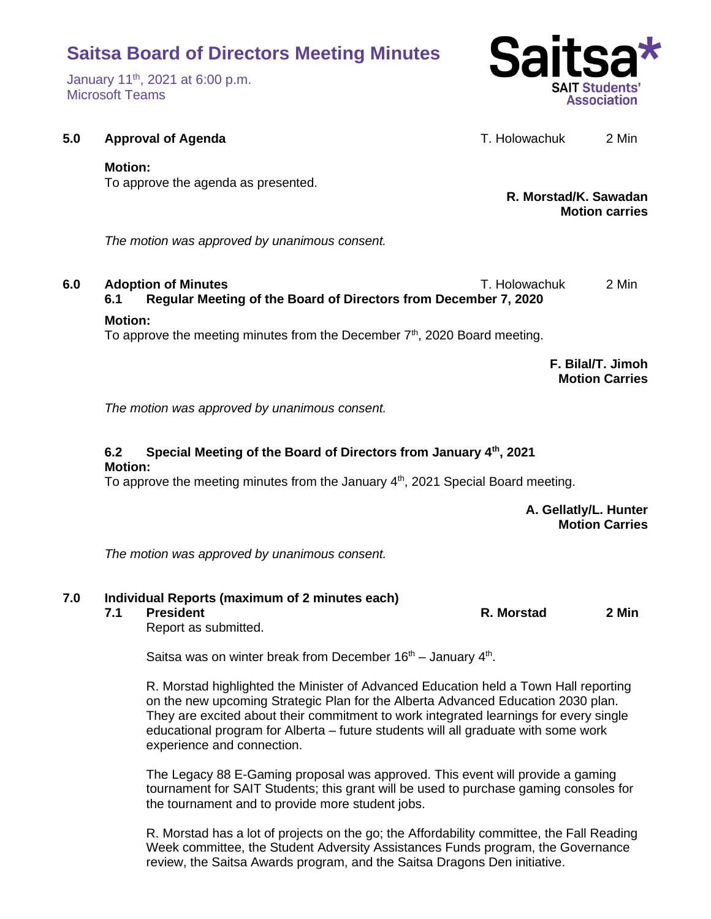January 11th, 2021 at 6:00 p.m. Microsoft Teams



**5.0 Approval of Agenda T. Holowachuk** 2 Min

## **Motion:**

To approve the agenda as presented.

**R. Morstad/K. Sawadan Motion carries**

*The motion was approved by unanimous consent.*

**6.0 Adoption of Minutes** T. Holowachuk 2 Min **6.1 Regular Meeting of the Board of Directors from December 7, 2020**

## **Motion:**

To approve the meeting minutes from the December  $7<sup>th</sup>$ , 2020 Board meeting.

**F. Bilal/T. Jimoh Motion Carries**

*The motion was approved by unanimous consent.*

## **6.2 Special Meeting of the Board of Directors from January 4th, 2021 Motion:**

To approve the meeting minutes from the January  $4<sup>th</sup>$ , 2021 Special Board meeting.

**A. Gellatly/L. Hunter Motion Carries**

*The motion was approved by unanimous consent.*

# **7.0 Individual Reports (maximum of 2 minutes each)**

**7.1 President R. Morstad 2 Min**

Report as submitted.

Saitsa was on winter break from December  $16<sup>th</sup>$  – January  $4<sup>th</sup>$ .

R. Morstad highlighted the Minister of Advanced Education held a Town Hall reporting on the new upcoming Strategic Plan for the Alberta Advanced Education 2030 plan. They are excited about their commitment to work integrated learnings for every single educational program for Alberta – future students will all graduate with some work experience and connection.

The Legacy 88 E-Gaming proposal was approved. This event will provide a gaming tournament for SAIT Students; this grant will be used to purchase gaming consoles for the tournament and to provide more student jobs.

R. Morstad has a lot of projects on the go; the Affordability committee, the Fall Reading Week committee, the Student Adversity Assistances Funds program, the Governance review, the Saitsa Awards program, and the Saitsa Dragons Den initiative.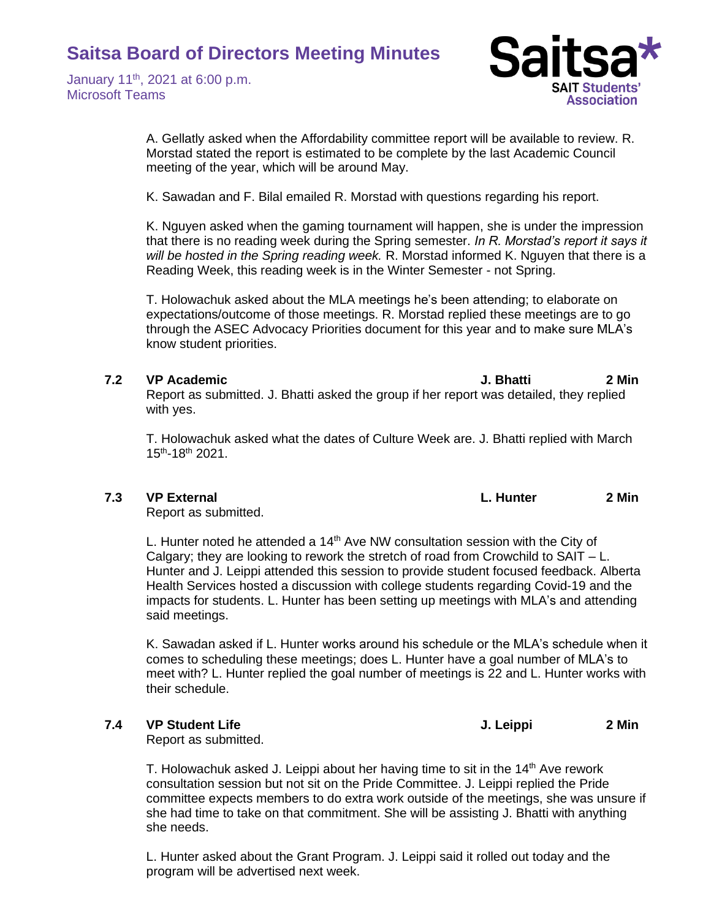January 11th, 2021 at 6:00 p.m. Microsoft Teams



A. Gellatly asked when the Affordability committee report will be available to review. R. Morstad stated the report is estimated to be complete by the last Academic Council meeting of the year, which will be around May.

K. Sawadan and F. Bilal emailed R. Morstad with questions regarding his report.

K. Nguyen asked when the gaming tournament will happen, she is under the impression that there is no reading week during the Spring semester. *In R. Morstad's report it says it will be hosted in the Spring reading week.* R. Morstad informed K. Nguyen that there is a Reading Week, this reading week is in the Winter Semester - not Spring.

T. Holowachuk asked about the MLA meetings he's been attending; to elaborate on expectations/outcome of those meetings. R. Morstad replied these meetings are to go through the ASEC Advocacy Priorities document for this year and to make sure MLA's know student priorities.

### **7.2 VP Academic J. Bhatti 2 Min**

Report as submitted. J. Bhatti asked the group if her report was detailed, they replied with yes.

T. Holowachuk asked what the dates of Culture Week are. J. Bhatti replied with March 15th -18th 2021.

Report as submitted.

L. Hunter noted he attended a  $14<sup>th</sup>$  Ave NW consultation session with the City of Calgary; they are looking to rework the stretch of road from Crowchild to  $SAIT - L$ . Hunter and J. Leippi attended this session to provide student focused feedback. Alberta Health Services hosted a discussion with college students regarding Covid-19 and the impacts for students. L. Hunter has been setting up meetings with MLA's and attending said meetings.

K. Sawadan asked if L. Hunter works around his schedule or the MLA's schedule when it comes to scheduling these meetings; does L. Hunter have a goal number of MLA's to meet with? L. Hunter replied the goal number of meetings is 22 and L. Hunter works with their schedule.

Report as submitted.

T. Holowachuk asked J. Leippi about her having time to sit in the  $14<sup>th</sup>$  Ave rework consultation session but not sit on the Pride Committee. J. Leippi replied the Pride committee expects members to do extra work outside of the meetings, she was unsure if she had time to take on that commitment. She will be assisting J. Bhatti with anything she needs.

L. Hunter asked about the Grant Program. J. Leippi said it rolled out today and the program will be advertised next week.

**7.3 VP External L. Hunter 2 Min**

**7.4 VP Student Life J. Leippi 2 Min**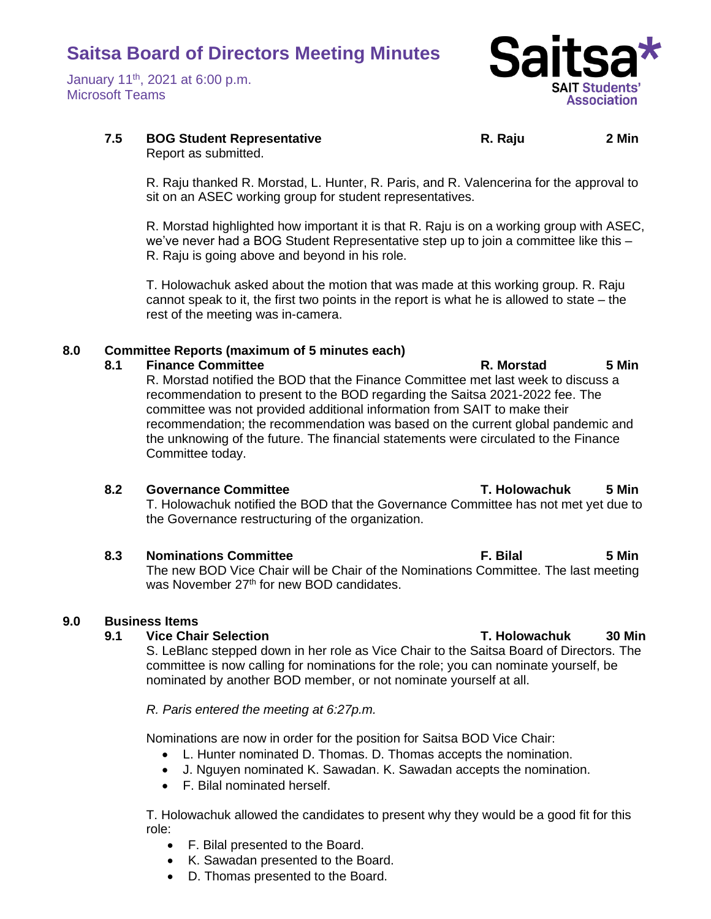January 11th, 2021 at 6:00 p.m. Microsoft Teams



# **7.5 BOG Student Representative R. Raju 2 Min**

Report as submitted.

R. Raju thanked R. Morstad, L. Hunter, R. Paris, and R. Valencerina for the approval to sit on an ASEC working group for student representatives.

R. Morstad highlighted how important it is that R. Raju is on a working group with ASEC, we've never had a BOG Student Representative step up to join a committee like this -R. Raju is going above and beyond in his role.

T. Holowachuk asked about the motion that was made at this working group. R. Raju cannot speak to it, the first two points in the report is what he is allowed to state – the rest of the meeting was in-camera.

# **8.0 Committee Reports (maximum of 5 minutes each)**

### **8.1 Finance Committee R. Morstad 5 Min**

R. Morstad notified the BOD that the Finance Committee met last week to discuss a recommendation to present to the BOD regarding the Saitsa 2021-2022 fee. The committee was not provided additional information from SAIT to make their recommendation; the recommendation was based on the current global pandemic and the unknowing of the future. The financial statements were circulated to the Finance Committee today.

### **8.2 Governance Committee T. Holowachuk 5 Min**

T. Holowachuk notified the BOD that the Governance Committee has not met yet due to the Governance restructuring of the organization.

## **8.3 Nominations Committee F. Bilal 5 Min**

The new BOD Vice Chair will be Chair of the Nominations Committee. The last meeting was November 27<sup>th</sup> for new BOD candidates.

## **9.0 Business Items**

S. LeBlanc stepped down in her role as Vice Chair to the Saitsa Board of Directors. The committee is now calling for nominations for the role; you can nominate yourself, be nominated by another BOD member, or not nominate yourself at all.

## *R. Paris entered the meeting at 6:27p.m.*

Nominations are now in order for the position for Saitsa BOD Vice Chair:

- L. Hunter nominated D. Thomas. D. Thomas accepts the nomination.
- J. Nguyen nominated K. Sawadan. K. Sawadan accepts the nomination.
- F. Bilal nominated herself.

T. Holowachuk allowed the candidates to present why they would be a good fit for this role:

- F. Bilal presented to the Board.
- K. Sawadan presented to the Board.
- D. Thomas presented to the Board.

# **9.1 Vice Chair Selection T. Holowachuk 30 Min**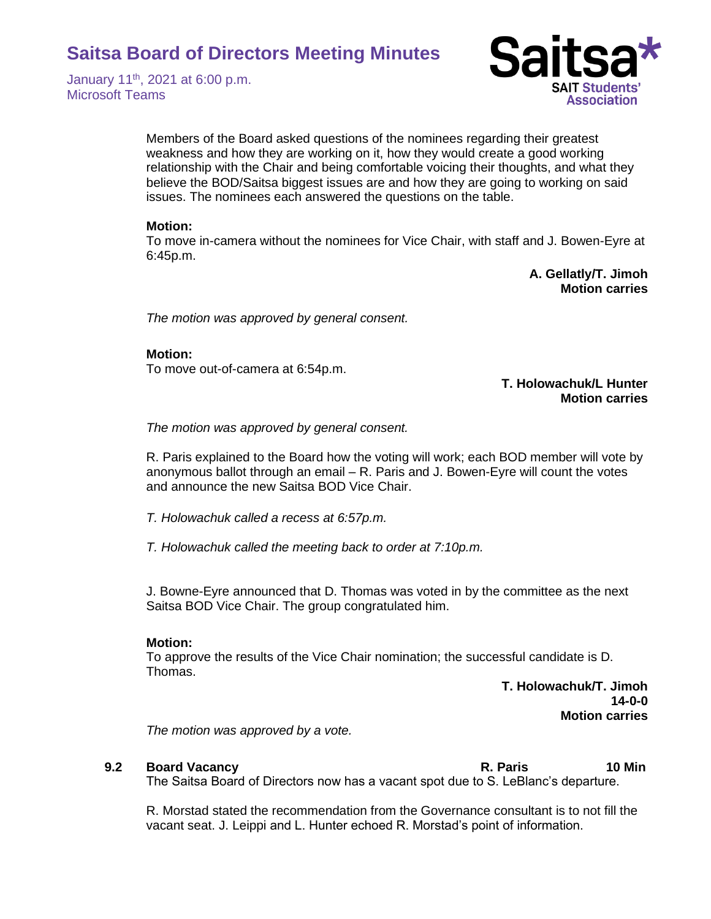January 11th, 2021 at 6:00 p.m. Microsoft Teams



Members of the Board asked questions of the nominees regarding their greatest weakness and how they are working on it, how they would create a good working relationship with the Chair and being comfortable voicing their thoughts, and what they believe the BOD/Saitsa biggest issues are and how they are going to working on said issues. The nominees each answered the questions on the table.

### **Motion:**

To move in-camera without the nominees for Vice Chair, with staff and J. Bowen-Eyre at 6:45p.m.

> **A. Gellatly/T. Jimoh Motion carries**

*The motion was approved by general consent.*

#### **Motion:**

To move out-of-camera at 6:54p.m.

### **T. Holowachuk/L Hunter Motion carries**

*The motion was approved by general consent.* 

R. Paris explained to the Board how the voting will work; each BOD member will vote by anonymous ballot through an email – R. Paris and J. Bowen-Eyre will count the votes and announce the new Saitsa BOD Vice Chair.

*T. Holowachuk called a recess at 6:57p.m.*

*T. Holowachuk called the meeting back to order at 7:10p.m.* 

J. Bowne-Eyre announced that D. Thomas was voted in by the committee as the next Saitsa BOD Vice Chair. The group congratulated him.

### **Motion:**

To approve the results of the Vice Chair nomination; the successful candidate is D. Thomas.

> **T. Holowachuk/T. Jimoh 14-0-0 Motion carries**

*The motion was approved by a vote.* 

### **9.2 Board Vacancy R. Paris 10 Min**

The Saitsa Board of Directors now has a vacant spot due to S. LeBlanc's departure.

R. Morstad stated the recommendation from the Governance consultant is to not fill the vacant seat. J. Leippi and L. Hunter echoed R. Morstad's point of information.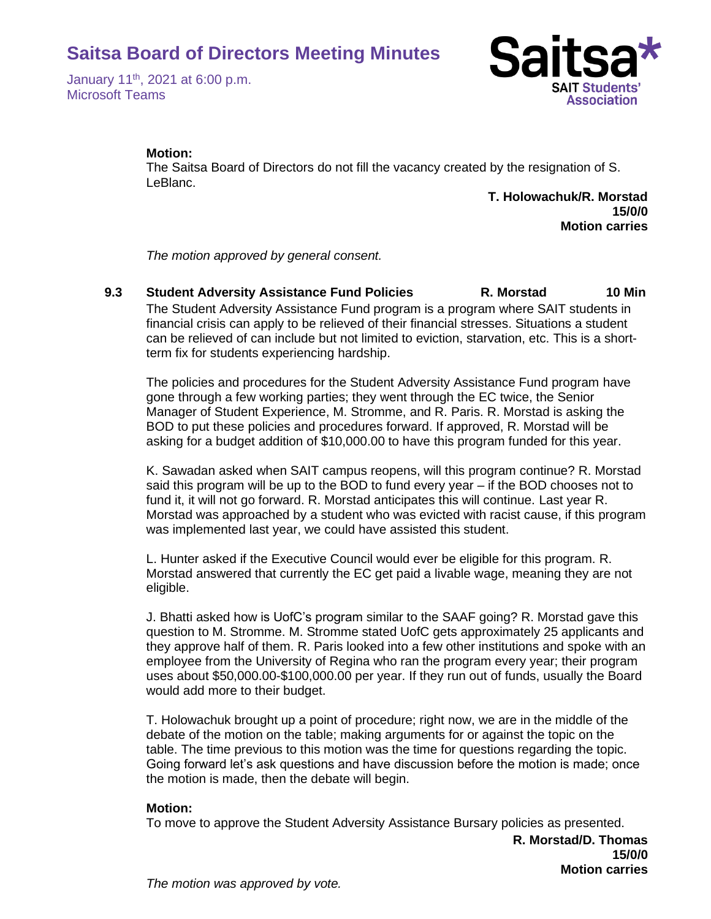January 11th, 2021 at 6:00 p.m. Microsoft Teams



### **Motion:**

The Saitsa Board of Directors do not fill the vacancy created by the resignation of S. LeBlanc.

> **T. Holowachuk/R. Morstad 15/0/0 Motion carries**

*The motion approved by general consent.*

**9.3 Student Adversity Assistance Fund Policies R. Morstad 10 Min** The Student Adversity Assistance Fund program is a program where SAIT students in financial crisis can apply to be relieved of their financial stresses. Situations a student can be relieved of can include but not limited to eviction, starvation, etc. This is a shortterm fix for students experiencing hardship.

The policies and procedures for the Student Adversity Assistance Fund program have gone through a few working parties; they went through the EC twice, the Senior Manager of Student Experience, M. Stromme, and R. Paris. R. Morstad is asking the BOD to put these policies and procedures forward. If approved, R. Morstad will be asking for a budget addition of \$10,000.00 to have this program funded for this year.

K. Sawadan asked when SAIT campus reopens, will this program continue? R. Morstad said this program will be up to the BOD to fund every year – if the BOD chooses not to fund it, it will not go forward. R. Morstad anticipates this will continue. Last year R. Morstad was approached by a student who was evicted with racist cause, if this program was implemented last year, we could have assisted this student.

L. Hunter asked if the Executive Council would ever be eligible for this program. R. Morstad answered that currently the EC get paid a livable wage, meaning they are not eligible.

J. Bhatti asked how is UofC's program similar to the SAAF going? R. Morstad gave this question to M. Stromme. M. Stromme stated UofC gets approximately 25 applicants and they approve half of them. R. Paris looked into a few other institutions and spoke with an employee from the University of Regina who ran the program every year; their program uses about \$50,000.00-\$100,000.00 per year. If they run out of funds, usually the Board would add more to their budget.

T. Holowachuk brought up a point of procedure; right now, we are in the middle of the debate of the motion on the table; making arguments for or against the topic on the table. The time previous to this motion was the time for questions regarding the topic. Going forward let's ask questions and have discussion before the motion is made; once the motion is made, then the debate will begin.

### **Motion:**

To move to approve the Student Adversity Assistance Bursary policies as presented.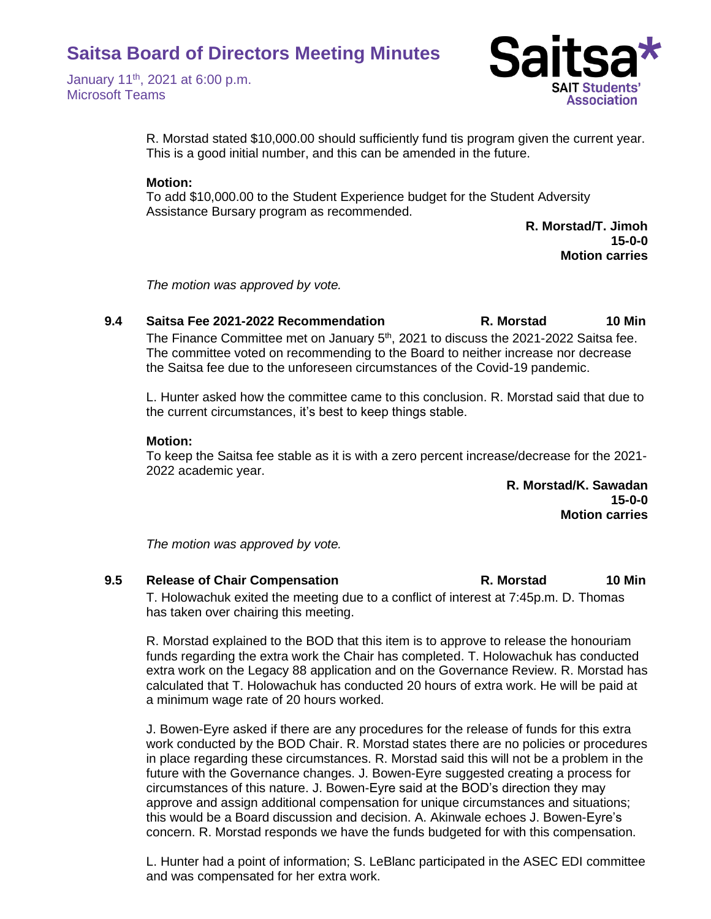January 11th, 2021 at 6:00 p.m. Microsoft Teams



R. Morstad stated \$10,000.00 should sufficiently fund tis program given the current year. This is a good initial number, and this can be amended in the future.

### **Motion:**

To add \$10,000.00 to the Student Experience budget for the Student Adversity Assistance Bursary program as recommended.

> **R. Morstad/T. Jimoh 15-0-0 Motion carries**

*The motion was approved by vote.*

# **9.4 Saitsa Fee 2021-2022 Recommendation R. Morstad 10 Min**

The Finance Committee met on January 5<sup>th</sup>, 2021 to discuss the 2021-2022 Saitsa fee. The committee voted on recommending to the Board to neither increase nor decrease the Saitsa fee due to the unforeseen circumstances of the Covid-19 pandemic.

L. Hunter asked how the committee came to this conclusion. R. Morstad said that due to the current circumstances, it's best to keep things stable.

### **Motion:**

To keep the Saitsa fee stable as it is with a zero percent increase/decrease for the 2021- 2022 academic year.

> **R. Morstad/K. Sawadan 15-0-0 Motion carries**

*The motion was approved by vote.*

**9.5 Release of Chair Compensation R. Morstad 10 Min** T. Holowachuk exited the meeting due to a conflict of interest at 7:45p.m. D. Thomas has taken over chairing this meeting.

R. Morstad explained to the BOD that this item is to approve to release the honouriam funds regarding the extra work the Chair has completed. T. Holowachuk has conducted extra work on the Legacy 88 application and on the Governance Review. R. Morstad has calculated that T. Holowachuk has conducted 20 hours of extra work. He will be paid at a minimum wage rate of 20 hours worked.

J. Bowen-Eyre asked if there are any procedures for the release of funds for this extra work conducted by the BOD Chair. R. Morstad states there are no policies or procedures in place regarding these circumstances. R. Morstad said this will not be a problem in the future with the Governance changes. J. Bowen-Eyre suggested creating a process for circumstances of this nature. J. Bowen-Eyre said at the BOD's direction they may approve and assign additional compensation for unique circumstances and situations; this would be a Board discussion and decision. A. Akinwale echoes J. Bowen-Eyre's concern. R. Morstad responds we have the funds budgeted for with this compensation.

L. Hunter had a point of information; S. LeBlanc participated in the ASEC EDI committee and was compensated for her extra work.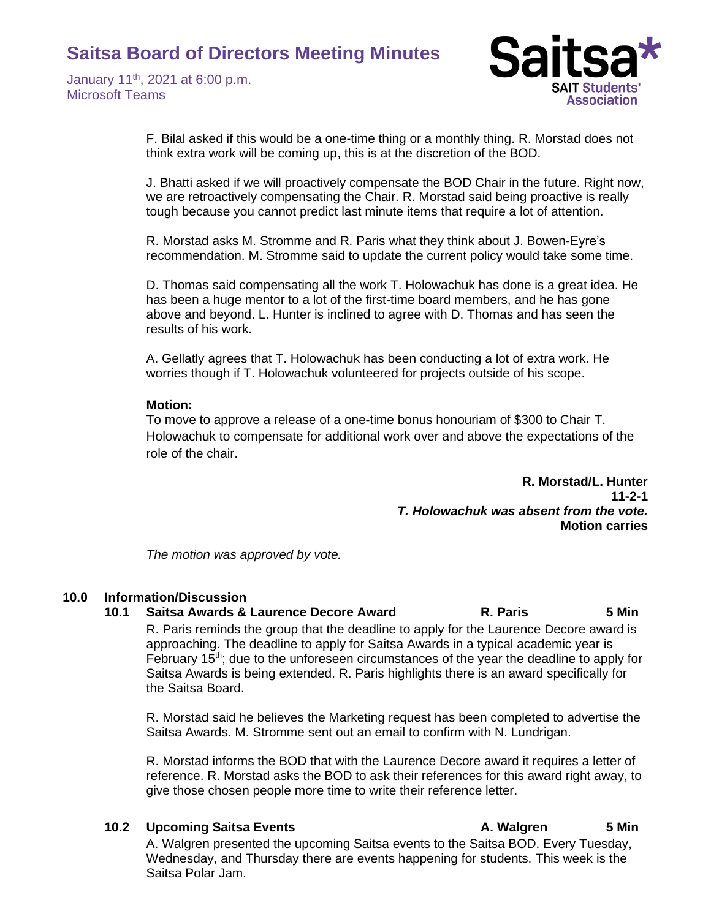January 11th, 2021 at 6:00 p.m. Microsoft Teams



F. Bilal asked if this would be a one-time thing or a monthly thing. R. Morstad does not think extra work will be coming up, this is at the discretion of the BOD.

J. Bhatti asked if we will proactively compensate the BOD Chair in the future. Right now, we are retroactively compensating the Chair. R. Morstad said being proactive is really tough because you cannot predict last minute items that require a lot of attention.

R. Morstad asks M. Stromme and R. Paris what they think about J. Bowen-Eyre's recommendation. M. Stromme said to update the current policy would take some time.

D. Thomas said compensating all the work T. Holowachuk has done is a great idea. He has been a huge mentor to a lot of the first-time board members, and he has gone above and beyond. L. Hunter is inclined to agree with D. Thomas and has seen the results of his work.

A. Gellatly agrees that T. Holowachuk has been conducting a lot of extra work. He worries though if T. Holowachuk volunteered for projects outside of his scope.

#### **Motion:**

To move to approve a release of a one-time bonus honouriam of \$300 to Chair T. Holowachuk to compensate for additional work over and above the expectations of the role of the chair.

> **R. Morstad/L. Hunter 11-2-1** *T. Holowachuk was absent from the vote.* **Motion carries**

*The motion was approved by vote.*

### **10.0 Information/Discussion**

# **10.1 Saitsa Awards & Laurence Decore Award R. Paris 5 Min**

R. Paris reminds the group that the deadline to apply for the Laurence Decore award is approaching. The deadline to apply for Saitsa Awards in a typical academic year is February 15<sup>th</sup>; due to the unforeseen circumstances of the year the deadline to apply for Saitsa Awards is being extended. R. Paris highlights there is an award specifically for the Saitsa Board.

R. Morstad said he believes the Marketing request has been completed to advertise the Saitsa Awards. M. Stromme sent out an email to confirm with N. Lundrigan.

R. Morstad informs the BOD that with the Laurence Decore award it requires a letter of reference. R. Morstad asks the BOD to ask their references for this award right away, to give those chosen people more time to write their reference letter.

### **10.2 Upcoming Saitsa Events A. Walgren 5 Min**

A. Walgren presented the upcoming Saitsa events to the Saitsa BOD. Every Tuesday, Wednesday, and Thursday there are events happening for students. This week is the Saitsa Polar Jam.